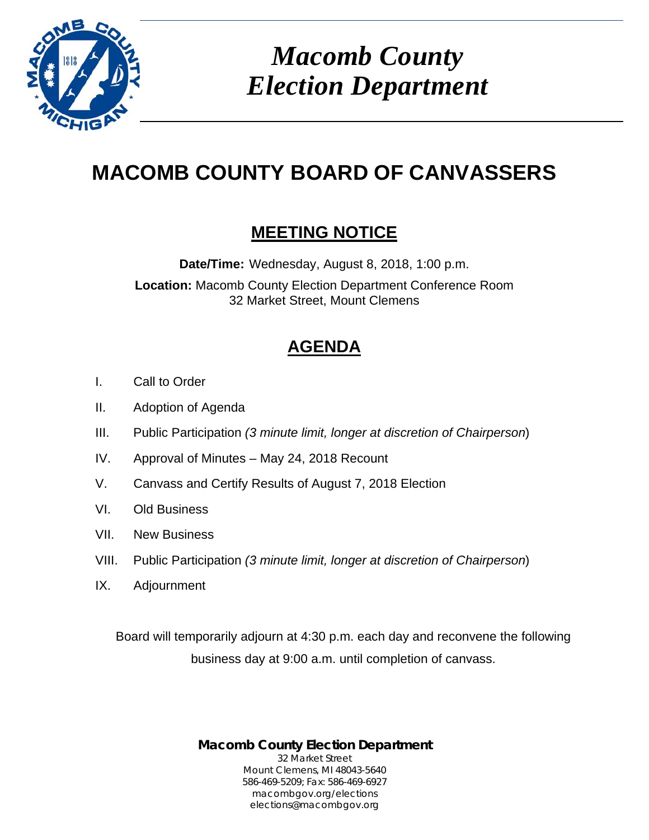

 *Macomb County Election Department* 

# **MACOMB COUNTY BOARD OF CANVASSERS**

# **MEETING NOTICE**

**Date/Time:** Wednesday, August 8, 2018, 1:00 p.m. **Location:** Macomb County Election Department Conference Room 32 Market Street, Mount Clemens

# **AGENDA**

- I. Call to Order
- II. Adoption of Agenda
- III. Public Participation *(3 minute limit, longer at discretion of Chairperson*)
- IV. Approval of Minutes May 24, 2018 Recount
- V. Canvass and Certify Results of August 7, 2018 Election
- VI. Old Business
- VII. New Business
- VIII. Public Participation *(3 minute limit, longer at discretion of Chairperson*)
- IX. Adjournment

Board will temporarily adjourn at 4:30 p.m. each day and reconvene the following business day at 9:00 a.m. until completion of canvass.

> **Macomb County Election Department** 32 Market Street Mount Clemens, MI 48043-5640 586-469-5209; Fax: 586-469-6927 macombgov.org/elections elections@macombgov.org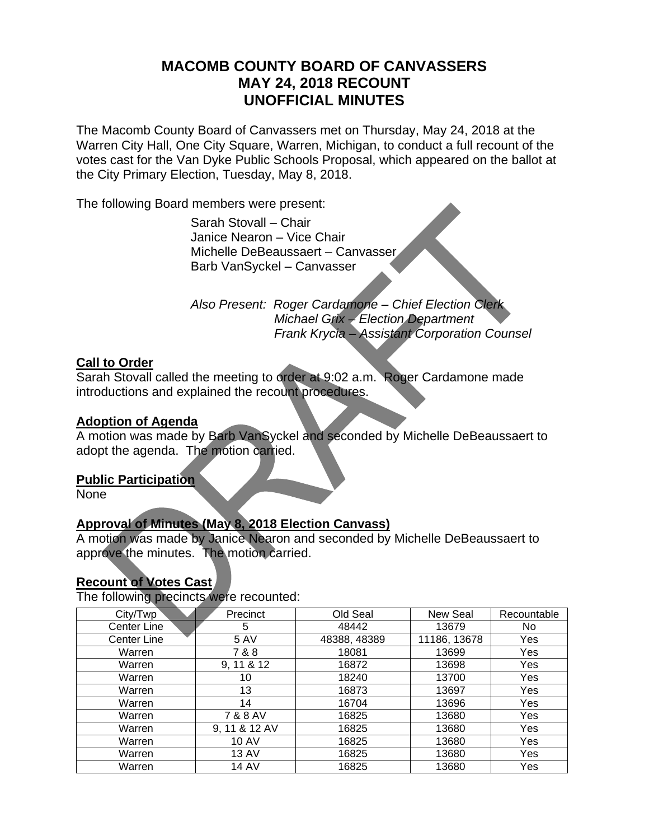# **MACOMB COUNTY BOARD OF CANVASSERS MAY 24, 2018 RECOUNT UNOFFICIAL MINUTES**

The Macomb County Board of Canvassers met on Thursday, May 24, 2018 at the Warren City Hall, One City Square, Warren, Michigan, to conduct a full recount of the votes cast for the Van Dyke Public Schools Proposal, which appeared on the ballot at the City Primary Election, Tuesday, May 8, 2018.

The following Board members were present:

Sarah Stovall – Chair Janice Nearon – Vice Chair Michelle DeBeaussaert – Canvasser Barb VanSyckel – Canvasser

 *Also Present: Roger Cardamone – Chief Election Clerk Michael Grix – Election Department Frank Krycia – Assistant Corporation Counsel* 

# **Call to Order**

Sarah Stovall called the meeting to order at 9:02 a.m. Roger Cardamone made introductions and explained the recount procedures.

### **Adoption of Agenda**

A motion was made by Barb VanSyckel and seconded by Michelle DeBeaussaert to adopt the agenda. The motion carried.

### **Public Participation**

None

# **Approval of Minutes (May 8, 2018 Election Canvass)**

A motion was made by Janice Nearon and seconded by Michelle DeBeaussaert to approve the minutes. The motion carried.

# **Recount of Votes Cast**

The following precincts were recounted:

| City/Twp    | Precinct      | Old Seal     | New Seal     | Recountable |
|-------------|---------------|--------------|--------------|-------------|
| Center Line | 5             | 48442        | 13679        | No          |
| Center Line | 5 AV          | 48388, 48389 | 11186, 13678 | Yes         |
| Warren      | 7&8           | 18081        | 13699        | Yes         |
| Warren      | 9, 11 & 12    | 16872        | 13698        | Yes         |
| Warren      | 10            | 18240        | 13700        | Yes         |
| Warren      | 13            | 16873        | 13697        | Yes         |
| Warren      | 14            | 16704        | 13696        | Yes         |
| Warren      | 7 & 8 AV      | 16825        | 13680        | Yes         |
| Warren      | 9, 11 & 12 AV | 16825        | 13680        | Yes         |
| Warren      | <b>10 AV</b>  | 16825        | 13680        | Yes         |
| Warren      | <b>13 AV</b>  | 16825        | 13680        | Yes         |
| Warren      | <b>14 AV</b>  | 16825        | 13680        | Yes         |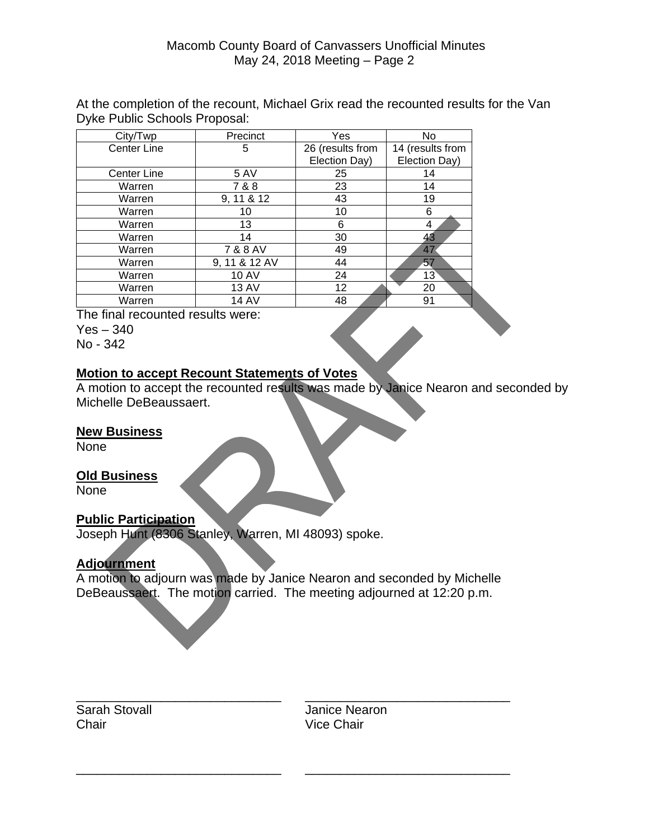## Macomb County Board of Canvassers Unofficial Minutes May 24, 2018 Meeting – Page 2

At the completion of the recount, Michael Grix read the recounted results for the Van Dyke Public Schools Proposal:

| City/Twp           | Precinct      | Yes              | No               |
|--------------------|---------------|------------------|------------------|
| Center Line        | 5             | 26 (results from | 14 (results from |
|                    |               | Election Day)    | Election Day)    |
| <b>Center Line</b> | <b>5 AV</b>   | 25               | 14               |
| Warren             | 7 & 8         | 23               | 14               |
| Warren             | 9, 11 & 12    | 43               | 19               |
| Warren             | 10            | 10               | 6                |
| Warren             | 13            | 6                | 4                |
| Warren             | 14            | 30               | 43               |
| Warren             | 7 & 8 AV      | 49               | 47               |
| Warren             | 9, 11 & 12 AV | 44               | 57               |
| Warren             | <b>10 AV</b>  | 24               | 13               |
| Warren             | <b>13 AV</b>  | 12               | 20               |
| Warren             | 14 AV         | 48               | 91               |

The final recounted results were:

Yes – 340

No - 342

# **Motion to accept Recount Statements of Votes**

A motion to accept the recounted results was made by Janice Nearon and seconded by Michelle DeBeaussaert.

#### **New Business**

None

### **Old Business**

None

### **Public Participation**

Joseph Hunt (8306 Stanley, Warren, MI 48093) spoke.

### **Adjournment**

A motion to adjourn was made by Janice Nearon and seconded by Michelle DeBeaussaert. The motion carried. The meeting adjourned at 12:20 p.m.

\_\_\_\_\_\_\_\_\_\_\_\_\_\_\_\_\_\_\_\_\_\_\_\_\_\_\_\_\_ \_\_\_\_\_\_\_\_\_\_\_\_\_\_\_\_\_\_\_\_\_\_\_\_\_\_\_\_\_

\_\_\_\_\_\_\_\_\_\_\_\_\_\_\_\_\_\_\_\_\_\_\_\_\_\_\_\_\_ \_\_\_\_\_\_\_\_\_\_\_\_\_\_\_\_\_\_\_\_\_\_\_\_\_\_\_\_\_ Chair **Vice Chair** 

Sarah Stovall **Sarah Stovall Janice Nearon**